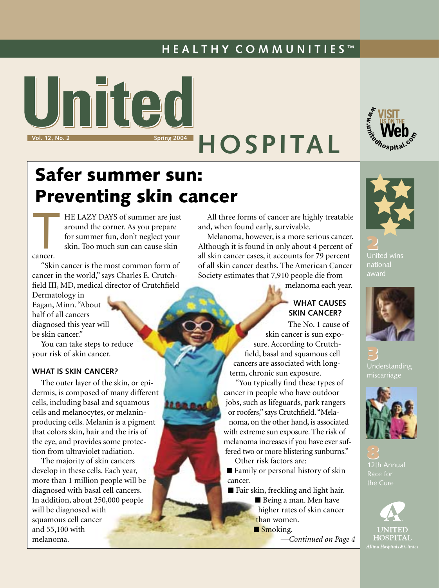#### **HEALTHY COMMUNITIES™**



# **Vol. 12, No. 2 Spring 2004 HOSPITAL**



HE LAZY DAYS of summer are just around the corner. As you prepare for summer fun, don't neglect your skin. Too much sun can cause skin

# **Cancer.**

"Skin cancer is the most common form of cancer in the world," says Charles E. Crutchfield III, MD, medical director of Crutchfield

Dermatology in Eagan, Minn. "About half of all cancers diagnosed this year will be skin cancer."

You can take steps to reduce your risk of skin cancer.

#### **WHAT IS SKIN CANCER?**

The outer layer of the skin, or epidermis, is composed of many different cells, including basal and squamous cells and melanocytes, or melaninproducing cells. Melanin is a pigment that colors skin, hair and the iris of the eye, and provides some protection from ultraviolet radiation.

The majority of skin cancers develop in these cells. Each year, more than 1 million people will be diagnosed with basal cell cancers. In addition, about 250,000 people will be diagnosed with squamous cell cancer and 55,100 with melanoma. *—Continued on Page 4*

All three forms of cancer are highly treatable and, when found early, survivable.

Melanoma, however, is a more serious cancer. Although it is found in only about 4 percent of all skin cancer cases, it accounts for 79 percent of all skin cancer deaths. The American Cancer Society estimates that 7,910 people die from

melanoma each year.

#### **WHAT CAUSES SKIN CANCER?**

The No. 1 cause of skin cancer is sun exposure. According to Crutchfield, basal and squamous cell cancers are associated with longterm, chronic sun exposure.

"You typically find these types of cancer in people who have outdoor jobs, such as lifeguards, park rangers or roofers," says Crutchfield. "Melanoma, on the other hand, is associated with extreme sun exposure. The risk of melanoma increases if you have ever suffered two or more blistering sunburns."

Other risk factors are:

 Family or personal history of skin cancer.

Fair skin, freckling and light hair.

Being a man. Men have higher rates of skin cancer than women.

Smoking.









Understanding



Race for the Cure

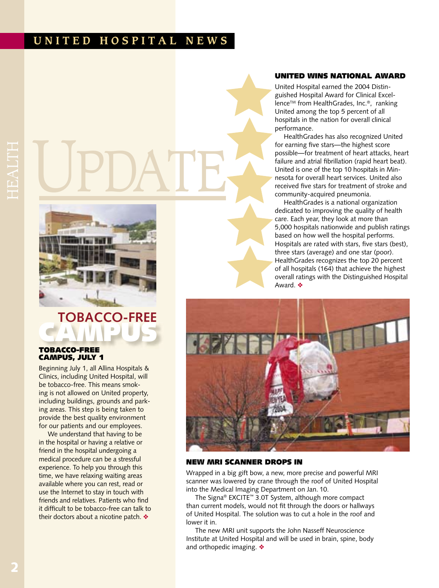#### **U N I T E D H O S P I T A L N E W S**

# UPDATE



### **TOBACCO-FREE** CAMPUS

#### TOBACCO-FREE CAMPUS, JULY 1

Beginning July 1, all Allina Hospitals & Clinics, including United Hospital, will be tobacco-free. This means smoking is not allowed on United property, including buildings, grounds and parking areas. This step is being taken to provide the best quality environment for our patients and our employees.

We understand that having to be in the hospital or having a relative or friend in the hospital undergoing a medical procedure can be a stressful experience. To help you through this time, we have relaxing waiting areas available where you can rest, read or use the Internet to stay in touch with friends and relatives. Patients who find it difficult to be tobacco-free can talk to their doctors about a nicotine patch.  $\triangle$ 

#### UNITED WINS NATIONAL AWARD

United Hospital earned the 2004 Distinguished Hospital Award for Clinical Excellence<sup>™</sup> from HealthGrades, Inc.®, ranking United among the top 5 percent of all hospitals in the nation for overall clinical performance.

HealthGrades has also recognized United for earning five stars—the highest score possible—for treatment of heart attacks, heart failure and atrial fibrillation (rapid heart beat). United is one of the top 10 hospitals in Minnesota for overall heart services. United also received five stars for treatment of stroke and community-acquired pneumonia.

HealthGrades is a national organization dedicated to improving the quality of health care. Each year, they look at more than 5,000 hospitals nationwide and publish ratings based on how well the hospital performs. Hospitals are rated with stars, five stars (best), three stars (average) and one star (poor). HealthGrades recognizes the top 20 percent of all hospitals (164) that achieve the highest overall ratings with the Distinguished Hospital Award  $\clubsuit$ 



#### NEW MRI SCANNER DROPS IN

Wrapped in a big gift bow, a new, more precise and powerful MRI scanner was lowered by crane through the roof of United Hospital into the Medical Imaging Department on Jan. 10.

The Signa® EXCITE™ 3.0T System, although more compact than current models, would not fit through the doors or hallways of United Hospital. The solution was to cut a hole in the roof and lower it in.

The new MRI unit supports the John Nasseff Neuroscience Institute at United Hospital and will be used in brain, spine, body and orthopedic imaging.  $\triangle$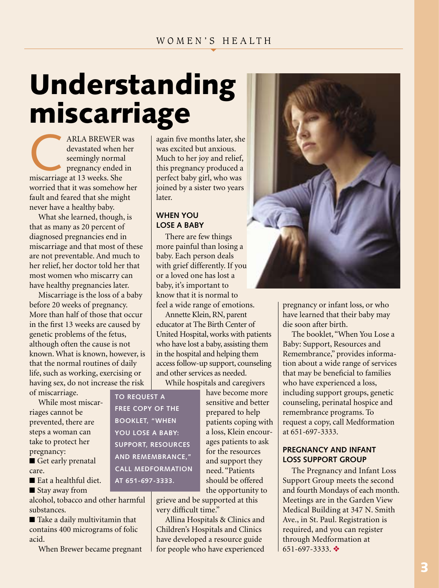# Understanding miscarriage

ARLA BREWER was devastated when her seemingly normal pregnancy ended in ARLA BREWER<br>
devastated when<br>
seemingly norma<br>
pregnancy ended<br>
miscarriage at 13 weeks. She worried that it was somehow her fault and feared that she might never have a healthy baby.

What she learned, though, is that as many as 20 percent of diagnosed pregnancies end in miscarriage and that most of these are not preventable. And much to her relief, her doctor told her that most women who miscarry can have healthy pregnancies later.

Miscarriage is the loss of a baby before 20 weeks of pregnancy. More than half of those that occur in the first 13 weeks are caused by genetic problems of the fetus, although often the cause is not known. What is known, however, is that the normal routines of daily life, such as working, exercising or having sex, do not increase the risk of miscarriage.

again five months later, she was excited but anxious. Much to her joy and relief, this pregnancy produced a perfect baby girl, who was joined by a sister two years later.

#### **WHEN YOU LOSE A BABY**

There are few things more painful than losing a baby. Each person deals with grief differently. If you or a loved one has lost a baby, it's important to know that it is normal to feel a wide range of emotions.

Annette Klein, RN, parent educator at The Birth Center of United Hospital, works with patients who have lost a baby, assisting them in the hospital and helping them access follow-up support, counseling and other services as needed.

While hospitals and caregivers

While most miscarriages cannot be prevented, there are steps a woman can take to protect her pregnancy: Get early prenatal

care. Eat a healthful diet.

■ Stay away from

alcohol, tobacco and other harmful substances.

■ Take a daily multivitamin that contains 400 micrograms of folic acid.

When Brewer became pregnant

have become more sensitive and better prepared to help patients coping with a loss, Klein encourages patients to ask for the resources and support they need. "Patients should be offered the opportunity to **SUPPORT, RESOURCES AND REMEMBRANCE," CALL MEDFORMATION** 

> grieve and be supported at this very difficult time."

Allina Hospitals & Clinics and Children's Hospitals and Clinics have developed a resource guide for people who have experienced



pregnancy or infant loss, or who have learned that their baby may die soon after birth.

The booklet, "When You Lose a Baby: Support, Resources and Remembrance," provides information about a wide range of services that may be beneficial to families who have experienced a loss, including support groups, genetic counseling, perinatal hospice and remembrance programs. To request a copy, call Medformation at 651-697-3333.

#### **PREGNANCY AND INFANT LOSS SUPPORT GROUP**

The Pregnancy and Infant Loss Support Group meets the second and fourth Mondays of each month. Meetings are in the Garden View Medical Building at 347 N. Smith Ave., in St. Paul. Registration is required, and you can register through Medformation at  $651-697-3333.$ 

**TO REQUEST A FREE COPY OF THE BOOKLET, "WHEN YOU LOSE A BABY:** 

**AT 651-697-3333.**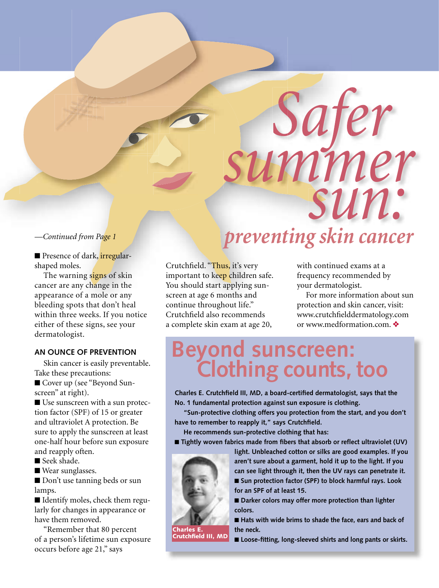# *Safer sun: summer*

#### *—Continued from Page 1*

**Presence of dark, irregular**shaped moles.

The warning signs of skin cancer are any change in the appearance of a mole or any bleeding spots that don't heal within three weeks. If you notice either of these signs, see your dermatologist.

#### **AN OUNCE OF PREVENTION**

Skin cancer is easily preventable. Take these precautions:

■ Cover up (see "Beyond Sunscreen" at right).

■ Use sunscreen with a sun protection factor (SPF) of 15 or greater and ultraviolet A protection. Be sure to apply the sunscreen at least one-half hour before sun exposure and reapply often.

Seek shade.

Wear sunglasses.

Don't use tanning beds or sun lamps.

■ Identify moles, check them regularly for changes in appearance or have them removed.

"Remember that 80 percent of a person's lifetime sun exposure occurs before age 21," says

# *preventing skin cancer*

Crutchfield. "Thus, it's very important to keep children safe. You should start applying sunscreen at age 6 months and continue throughout life." Crutchfield also recommends a complete skin exam at age 20,

with continued exams at a frequency recommended by your dermatologist.

For more information about sun protection and skin cancer, visit: www.crutchfielddermatology.com or www.medformation.com.

## **Beyond sunscreen: Clothing counts, too**

Charles E. Crutchfield III, MD, a board-certified dermatologist, says that the **No. 1 fundamental protection against sun exposure is clothing.**

**"Sun-protective clothing offers you protection from the start, and you don't**  have to remember to reapply it," says Crutchfield.

**He recommends sun-protective clothing that has:**

■ Tightly woven fabrics made from fibers that absorb or reflect ultraviolet (UV)



**light. Unbleached cotton or silks are good examples. If you aren't sure about a garment, hold it up to the light. If you can see light through it, then the UV rays can penetrate it.** ■ Sun protection factor (SPF) to block harmful rays. Look **for an SPF of at least 15.**

■ Darker colors may offer more protection than lighter **colors.**

■ Hats with wide brims to shade the face, ears and back of **the neck.**

Charles E. Crutchfield III, MD

■ Loose-fitting, long-sleeved shirts and long pants or skirts.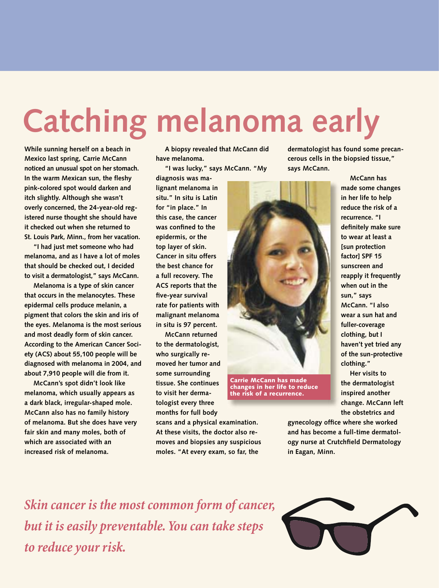# **Catching melanoma early**

**While sunning herself on a beach in Mexico last spring, Carrie McCann noticed an unusual spot on her stomach.**  In the warm Mexican sun, the fleshy **pink-colored spot would darken and itch slightly. Although she wasn't overly concerned, the 24-year-old registered nurse thought she should have it checked out when she returned to St. Louis Park, Minn., from her vacation.**

**"I had just met someone who had melanoma, and as I have a lot of moles that should be checked out, I decided to visit a dermatologist," says McCann.**

**Melanoma is a type of skin cancer that occurs in the melanocytes. These epidermal cells produce melanin, a pigment that colors the skin and iris of the eyes. Melanoma is the most serious and most deadly form of skin cancer. According to the American Cancer Society (ACS) about 55,100 people will be diagnosed with melanoma in 2004, and about 7,910 people will die from it.**

**McCann's spot didn't look like melanoma, which usually appears as a dark black, irregular-shaped mole. McCann also has no family history of melanoma. But she does have very fair skin and many moles, both of which are associated with an increased risk of melanoma.**

**A biopsy revealed that McCann did have melanoma.** 

**"I was lucky," says McCann. "My** 

**diagnosis was malignant melanoma in situ." In situ is Latin for "in place." In this case, the cancer**  was confined to the **epidermis, or the top layer of skin. Cancer in situ offers the best chance for a full recovery. The ACS reports that the fi ve-year survival rate for patients with malignant melanoma in situ is 97 percent.**

**McCann returned to the dermatologist, who surgically removed her tumor and some surrounding tissue. She continues to visit her dermatologist every three months for full body** 

**scans and a physical examination. At these visits, the doctor also removes and biopsies any suspicious moles. "At every exam, so far, the** 

**dermatologist has found some precancerous cells in the biopsied tissue," says McCann.**



Carrie McCann has made changes in her life to reduce the risk of a recurrence.

**McCann has made some changes in her life to help reduce the risk of a recurrence. "I defi nitely make sure to wear at least a [sun protection factor] SPF 15 sunscreen and reapply it frequently when out in the sun," says McCann. "I also wear a sun hat and fuller-coverage clothing, but I haven't yet tried any of the sun-protective clothing."**

**Her visits to the dermatologist inspired another change. McCann left the obstetrics and** 

gynecology office where she worked **and has become a full-time dermatology nurse at Crutchfield Dermatology in Eagan, Minn.** 

*Skin cancer is the most common form of cancer, but it is easily preventable. You can take steps to reduce your risk.* 

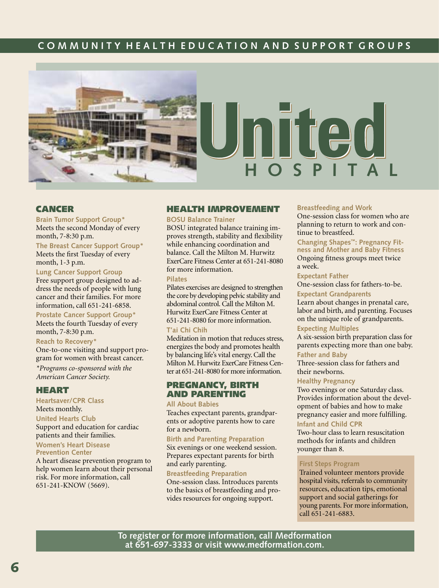#### COMMUNITY HEALTH EDUCATION AND SUPPORT GROUPS





#### CANCER

**Brain Tumor Support Group\*** Meets the second Monday of every month, 7-8:30 p.m.

**The Breast Cancer Support Group\*** Meets the first Tuesday of every month, 1-3 p.m.

**Lung Cancer Support Group** Free support group designed to address the needs of people with lung cancer and their families. For more information, call 651-241-6858.

**Prostate Cancer Support Group\***

Meets the fourth Tuesday of every month, 7-8:30 p.m.

#### **Reach to Recovery\***

One-to-one visiting and support program for women with breast cancer.

*\*Programs co-sponsored with the American Cancer Society.*

#### HEART

**Heartsaver/CPR Class** Meets monthly.

#### **United Hearts Club**

Support and education for cardiac patients and their families.

#### **Women's Heart Disease Prevention Center**

A heart disease prevention program to help women learn about their personal risk. For more information, call 651-241-KNOW (5669).

#### HEALTH IMPROVEMENT

**BOSU Balance Trainer**

BOSU integrated balance training improves strength, stability and flexibility while enhancing coordination and balance. Call the Milton M. Hurwitz ExerCare Fitness Center at 651-241-8080 for more information.

#### **Pilates**

Pilates exercises are designed to strengthen the core by developing pelvic stability and abdominal control. Call the Milton M. Hurwitz ExerCare Fitness Center at 651-241-8080 for more information.

#### **T'ai Chi Chih**

Meditation in motion that reduces stress, energizes the body and promotes health by balancing life's vital energy. Call the Milton M. Hurwitz ExerCare Fitness Center at 651-241-8080 for more information.

#### PREGNANCY, BIRTH AND PARENTING

#### **All About Babies**

Teaches expectant parents, grandparents or adoptive parents how to care for a newborn.

**Birth and Parenting Preparation** Six evenings or one weekend session. Prepares expectant parents for birth and early parenting.

#### **Breastfeeding Preparation**

One-session class. Introduces parents to the basics of breastfeeding and provides resources for ongoing support.

#### **Breastfeeding and Work**

One-session class for women who are planning to return to work and continue to breastfeed.

**Changing Shapes™: Pregnancy Fitness and Mother and Baby Fitness** Ongoing fitness groups meet twice a week.

#### **Expectant Father**

One-session class for fathers-to-be.

#### **Expectant Grandparents**

Learn about changes in prenatal care, labor and birth, and parenting. Focuses on the unique role of grandparents.

#### **Expecting Multiples**

A six-session birth preparation class for parents expecting more than one baby. **Father and Baby**

Three-session class for fathers and their newborns.

#### **Healthy Pregnancy**

Two evenings or one Saturday class. Provides information about the development of babies and how to make pregnancy easier and more fulfilling. **Infant and Child CPR**

Two-hour class to learn resuscitation methods for infants and children younger than 8.

#### **First Steps Program**

Trained volunteer mentors provide hospital visits, referrals to community resources, education tips, emotional support and social gatherings for young parents. For more information, call 651-241-6883.

**To register or for more information, call Medformation at 651-697-3333 or visit www.medformation.com.**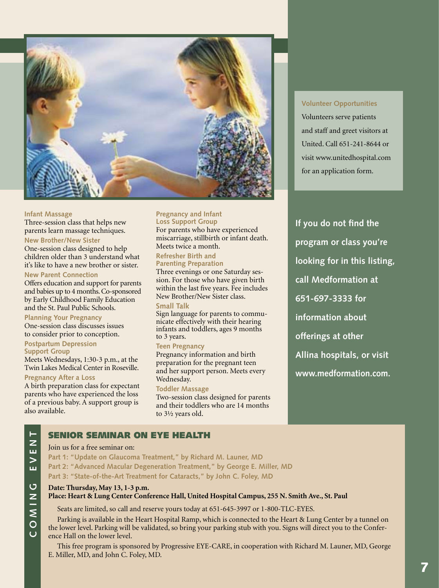

#### **Infant Massage**

Three-session class that helps new parents learn massage techniques. **New Brother/New Sister**

One-session class designed to help children older than 3 understand what it's like to have a new brother or sister.

#### **New Parent Connection**

Offers education and support for parents and babies up to 4 months. Co-sponsored by Early Childhood Family Education and the St. Paul Public Schools.

#### **Planning Your Pregnancy**

One-session class discusses issues to consider prior to conception.

#### **Postpartum Depression**

**Support Group** Meets Wednesdays, 1:30-3 p.m., at the Twin Lakes Medical Center in Roseville.

#### **Pregnancy After a Loss**

A birth preparation class for expectant parents who have experienced the loss of a previous baby. A support group is also available.

**Pregnancy and Infant** 

**Loss Support Group** For parents who have experienced miscarriage, stillbirth or infant death. Meets twice a month.

#### **Refresher Birth and Parenting Preparation**

Three evenings or one Saturday session. For those who have given birth within the last five years. Fee includes New Brother/New Sister class.

#### **Small Talk**

Sign language for parents to commu- nicate effectively with their hearing infants and toddlers, ages 9 months to 3 years.

#### **Teen Pregnancy**

Pregnancy information and birth preparation for the pregnant teen and her support person. Meets every Wednesday.

#### **Toddler Massage**

Two-session class designed for parents and their toddlers who are 14 months to 31⁄2 years old.

#### **Volunteer Opportunities**

Volunteers serve patients and staff and greet visitors at United. Call 651-241-8644 or visit www.unitedhospital.com for an application form.

**If you do not find the program or class you're looking for in this listing, call Medformation at 651-697-3333 for information about offerings at other Allina hospitals, or visit www.medformation.com.**

#### SENIOR SEMINAR ON EYE HEALTH

#### Join us for a free seminar on:

**Part 1: "Update on Glaucoma Treatment," by Richard M. Launer, MD Part 2: "Advanced Macular Degeneration Treatment," by George E. Miller, MD Part 3: "State-of-the-Art Treatment for Cataracts," by John C. Foley, MD**

#### **Date: Thursday, May 13, 1-3 p.m.**

#### **Place: Heart & Lung Center Conference Hall, United Hospital Campus, 255 N. Smith Ave., St. Paul**

Seats are limited, so call and reserve yours today at 651-645-3997 or 1-800-TLC-EYES.

Parking is available in the Heart Hospital Ramp, which is connected to the Heart & Lung Center by a tunnel on the lower level. Parking will be validated, so bring your parking stub with you. Signs will direct you to the Conference Hall on the lower level.

This free program is sponsored by Progressive EYE-CARE, in cooperation with Richard M. Launer, MD, George E. Miller, MD, and John C. Foley, MD.

**L Z B V H U Z I N O U** 

O Z  $\overline{\mathsf{M}}$  $\overline{O}$ 

 $\overline{z}$ ш  $\geq$ Щ